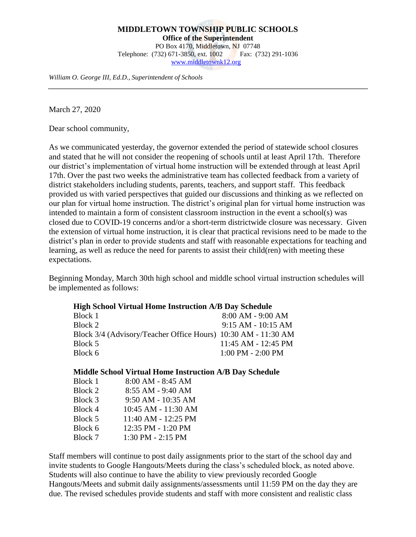*William O. George III, Ed.D., Superintendent of Schools*

March 27, 2020

Dear school community,

As we communicated yesterday, the governor extended the period of statewide school closures and stated that he will not consider the reopening of schools until at least April 17th. Therefore our district's implementation of virtual home instruction will be extended through at least April 17th. Over the past two weeks the administrative team has collected feedback from a variety of district stakeholders including students, parents, teachers, and support staff. This feedback provided us with varied perspectives that guided our discussions and thinking as we reflected on our plan for virtual home instruction. The district's original plan for virtual home instruction was intended to maintain a form of consistent classroom instruction in the event a school(s) was closed due to COVID-19 concerns and/or a short-term districtwide closure was necessary. Given the extension of virtual home instruction, it is clear that practical revisions need to be made to the district's plan in order to provide students and staff with reasonable expectations for teaching and learning, as well as reduce the need for parents to assist their child(ren) with meeting these expectations.

Beginning Monday, March 30th high school and middle school virtual instruction schedules will be implemented as follows:

| <b>High School Virtual Home Instruction A/B Day Schedule</b>  |                        |
|---------------------------------------------------------------|------------------------|
| Block 1                                                       | $8:00 AM - 9:00 AM$    |
| Block 2                                                       | $9:15$ AM - $10:15$ AM |
| Block 3/4 (Advisory/Teacher Office Hours) 10:30 AM - 11:30 AM |                        |
| Block 5                                                       | 11:45 AM - 12:45 PM    |
| Block 6                                                       | $1:00$ PM - 2:00 PM    |

## **Middle School Virtual Home Instruction A/B Day Schedule**

| Block 1 | $8:00 AM - 8:45 AM$   |
|---------|-----------------------|
| Block 2 | 8:55 AM - 9:40 AM     |
| Block 3 | 9:50 AM - 10:35 AM    |
| Block 4 | 10:45 AM - 11:30 AM   |
| Block 5 | 11:40 AM - 12:25 PM   |
| Block 6 | 12:35 PM - 1:20 PM    |
| Block 7 | $1:30$ PM $- 2:15$ PM |

Staff members will continue to post daily assignments prior to the start of the school day and invite students to Google Hangouts/Meets during the class's scheduled block, as noted above. Students will also continue to have the ability to view previously recorded Google Hangouts/Meets and submit daily assignments/assessments until 11:59 PM on the day they are due. The revised schedules provide students and staff with more consistent and realistic class